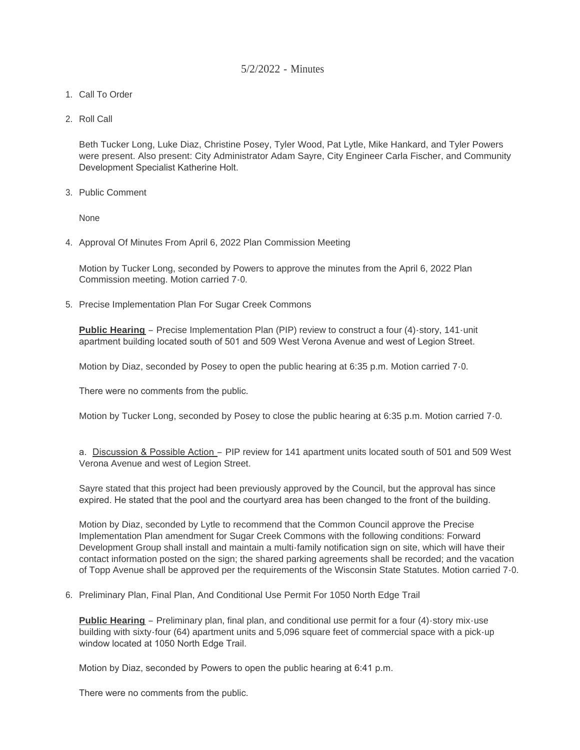## 5/2/2022 - Minutes

- 1. Call To Order
- 2. Roll Call

Beth Tucker Long, Luke Diaz, Christine Posey, Tyler Wood, Pat Lytle, Mike Hankard, and Tyler Powers were present. Also present: City Administrator Adam Sayre, City Engineer Carla Fischer, and Community Development Specialist Katherine Holt.

3. Public Comment

None

4. Approval Of Minutes From April 6, 2022 Plan Commission Meeting

Motion by Tucker Long, seconded by Powers to approve the minutes from the April 6, 2022 Plan Commission meeting. Motion carried 7-0.

5. Precise Implementation Plan For Sugar Creek Commons

**Public Hearing** – Precise Implementation Plan (PIP) review to construct a four (4)-story, 141-unit apartment building located south of 501 and 509 West Verona Avenue and west of Legion Street.

Motion by Diaz, seconded by Posey to open the public hearing at 6:35 p.m. Motion carried 7-0.

There were no comments from the public.

Motion by Tucker Long, seconded by Posey to close the public hearing at 6:35 p.m. Motion carried 7-0.

a. Discussion & Possible Action – PIP review for 141 apartment units located south of 501 and 509 West Verona Avenue and west of Legion Street.

Sayre stated that this project had been previously approved by the Council, but the approval has since expired. He stated that the pool and the courtyard area has been changed to the front of the building.

Motion by Diaz, seconded by Lytle to recommend that the Common Council approve the Precise Implementation Plan amendment for Sugar Creek Commons with the following conditions: Forward Development Group shall install and maintain a multi-family notification sign on site, which will have their contact information posted on the sign; the shared parking agreements shall be recorded; and the vacation of Topp Avenue shall be approved per the requirements of the Wisconsin State Statutes. Motion carried 7-0.

6. Preliminary Plan, Final Plan, And Conditional Use Permit For 1050 North Edge Trail

**Public Hearing** – Preliminary plan, final plan, and conditional use permit for a four (4)-story mix-use building with sixty-four (64) apartment units and 5,096 square feet of commercial space with a pick-up window located at 1050 North Edge Trail.

Motion by Diaz, seconded by Powers to open the public hearing at 6:41 p.m.

There were no comments from the public.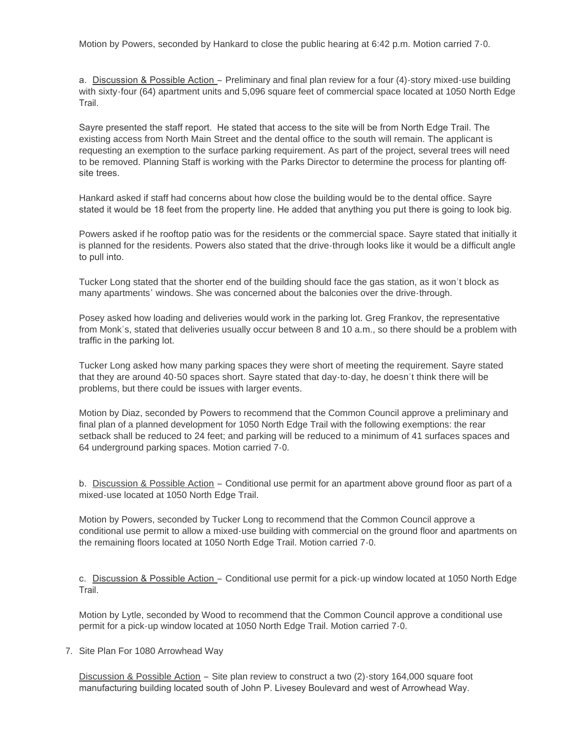Motion by Powers, seconded by Hankard to close the public hearing at 6:42 p.m. Motion carried 7-0.

a. Discussion & Possible Action – Preliminary and final plan review for a four (4)-story mixed-use building with sixty-four (64) apartment units and 5,096 square feet of commercial space located at 1050 North Edge Trail.

Sayre presented the staff report. He stated that access to the site will be from North Edge Trail. The existing access from North Main Street and the dental office to the south will remain. The applicant is requesting an exemption to the surface parking requirement. As part of the project, several trees will need to be removed. Planning Staff is working with the Parks Director to determine the process for planting offsite trees.

Hankard asked if staff had concerns about how close the building would be to the dental office. Sayre stated it would be 18 feet from the property line. He added that anything you put there is going to look big.

Powers asked if he rooftop patio was for the residents or the commercial space. Sayre stated that initially it is planned for the residents. Powers also stated that the drive-through looks like it would be a difficult angle to pull into.

Tucker Long stated that the shorter end of the building should face the gas station, as it won't block as many apartments' windows. She was concerned about the balconies over the drive-through.

Posey asked how loading and deliveries would work in the parking lot. Greg Frankov, the representative from Monk's, stated that deliveries usually occur between 8 and 10 a.m., so there should be a problem with traffic in the parking lot.

Tucker Long asked how many parking spaces they were short of meeting the requirement. Sayre stated that they are around 40-50 spaces short. Sayre stated that day-to-day, he doesn't think there will be problems, but there could be issues with larger events.

Motion by Diaz, seconded by Powers to recommend that the Common Council approve a preliminary and final plan of a planned development for 1050 North Edge Trail with the following exemptions: the rear setback shall be reduced to 24 feet; and parking will be reduced to a minimum of 41 surfaces spaces and 64 underground parking spaces. Motion carried 7-0.

b. Discussion & Possible Action – Conditional use permit for an apartment above ground floor as part of a mixed-use located at 1050 North Edge Trail.

Motion by Powers, seconded by Tucker Long to recommend that the Common Council approve a conditional use permit to allow a mixed-use building with commercial on the ground floor and apartments on the remaining floors located at 1050 North Edge Trail. Motion carried 7-0.

c. Discussion & Possible Action – Conditional use permit for a pick-up window located at 1050 North Edge Trail.

Motion by Lytle, seconded by Wood to recommend that the Common Council approve a conditional use permit for a pick-up window located at 1050 North Edge Trail. Motion carried 7-0.

7. Site Plan For 1080 Arrowhead Way

Discussion & Possible Action – Site plan review to construct a two (2)-story 164,000 square foot manufacturing building located south of John P. Livesey Boulevard and west of Arrowhead Way.